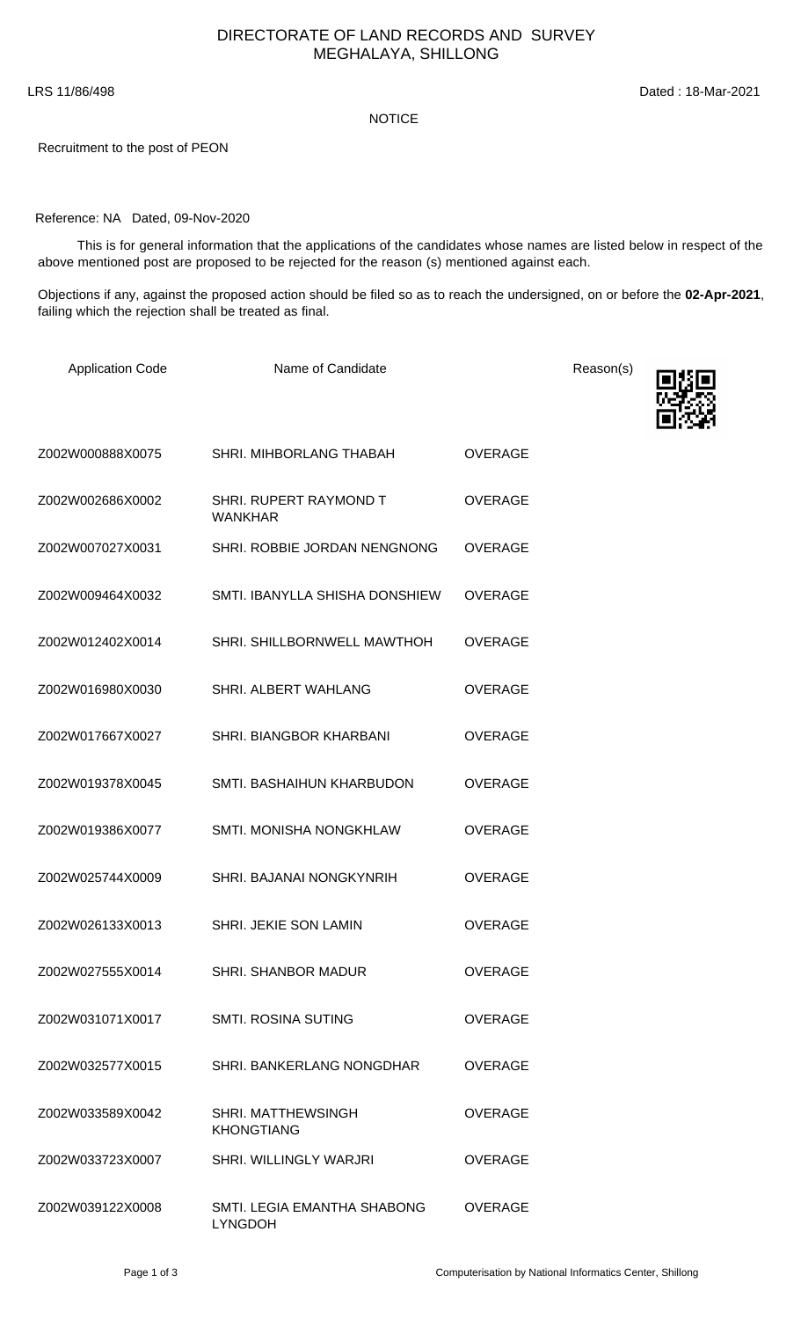## NOTICE

Recruitment to the post of PEON

## Reference: NA Dated, 09-Nov-2020

 This is for general information that the applications of the candidates whose names are listed below in respect of the above mentioned post are proposed to be rejected for the reason (s) mentioned against each.

Objections if any, against the proposed action should be filed so as to reach the undersigned, on or before the **02-Apr-2021**, failing which the rejection shall be treated as final.

| <b>Application Code</b> | Name of Candidate                              |                | Reason(s) |
|-------------------------|------------------------------------------------|----------------|-----------|
|                         |                                                |                |           |
| Z002W000888X0075        | SHRI. MIHBORLANG THABAH                        | <b>OVERAGE</b> |           |
| Z002W002686X0002        | SHRI. RUPERT RAYMOND T<br><b>WANKHAR</b>       | <b>OVERAGE</b> |           |
| Z002W007027X0031        | SHRI. ROBBIE JORDAN NENGNONG                   | <b>OVERAGE</b> |           |
| Z002W009464X0032        | SMTI. IBANYLLA SHISHA DONSHIEW                 | <b>OVERAGE</b> |           |
| Z002W012402X0014        | SHRI. SHILLBORNWELL MAWTHOH                    | <b>OVERAGE</b> |           |
| Z002W016980X0030        | SHRI. ALBERT WAHLANG                           | <b>OVERAGE</b> |           |
| Z002W017667X0027        | SHRI. BIANGBOR KHARBANI                        | <b>OVERAGE</b> |           |
| Z002W019378X0045        | SMTI. BASHAIHUN KHARBUDON                      | <b>OVERAGE</b> |           |
| Z002W019386X0077        | SMTI. MONISHA NONGKHLAW                        | <b>OVERAGE</b> |           |
| Z002W025744X0009        | SHRI. BAJANAI NONGKYNRIH                       | <b>OVERAGE</b> |           |
| Z002W026133X0013        | SHRI. JEKIE SON LAMIN                          | <b>OVERAGE</b> |           |
| Z002W027555X0014        | <b>SHRI. SHANBOR MADUR</b>                     | <b>OVERAGE</b> |           |
| Z002W031071X0017        | <b>SMTI. ROSINA SUTING</b>                     | <b>OVERAGE</b> |           |
| Z002W032577X0015        | <b>SHRI, BANKERLANG NONGDHAR</b>               | OVERAGE        |           |
| Z002W033589X0042        | <b>SHRI, MATTHEWSINGH</b><br><b>KHONGTIANG</b> | OVERAGE        |           |
| Z002W033723X0007        | SHRI. WILLINGLY WARJRI                         | <b>OVERAGE</b> |           |
| Z002W039122X0008        | SMTI. LEGIA EMANTHA SHABONG<br><b>LYNGDOH</b>  | <b>OVERAGE</b> |           |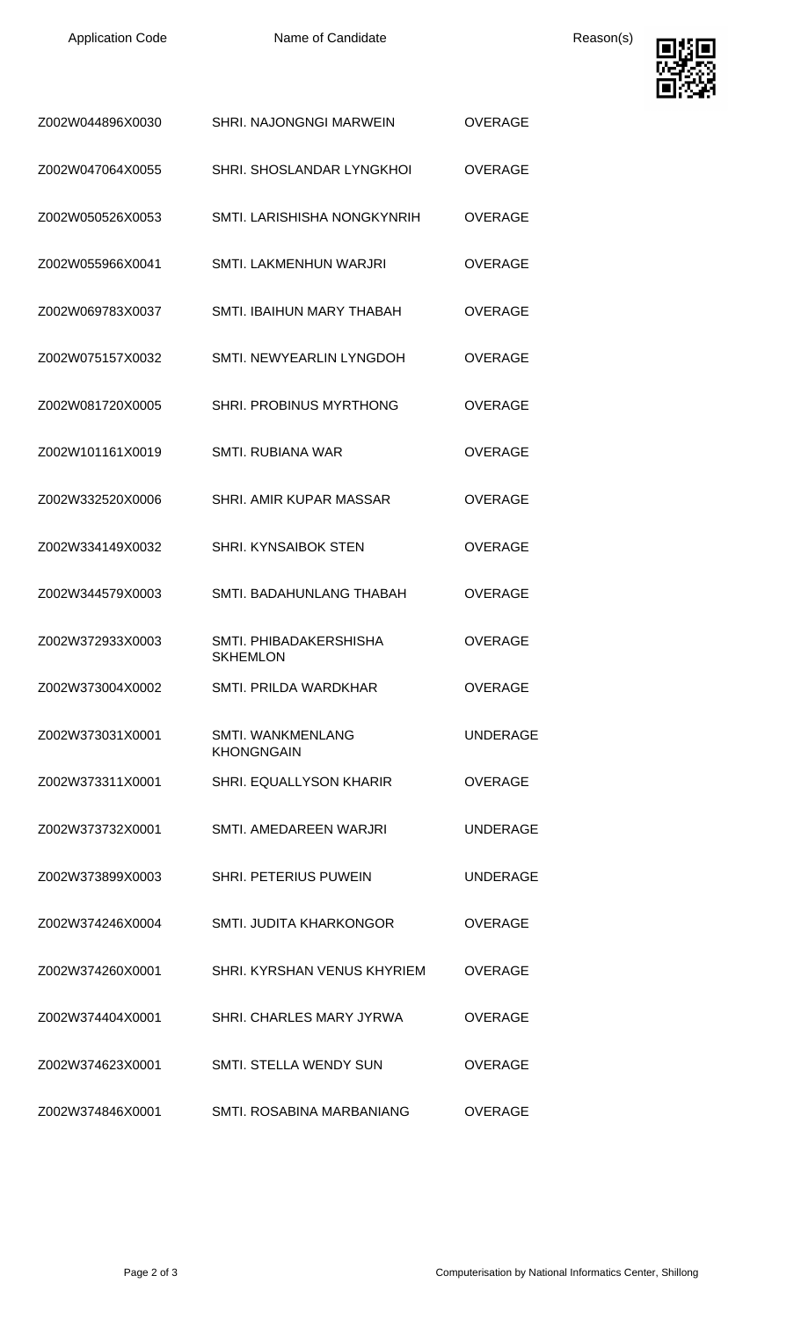Application Code **Name of Candidate Name of Candidate** Reason(s)



| Z002W044896X0030 | <b>SHRI. NAJONGNGI MARWEIN</b>                | OVERAGE         |
|------------------|-----------------------------------------------|-----------------|
| Z002W047064X0055 | SHRI. SHOSLANDAR LYNGKHOI                     | <b>OVERAGE</b>  |
| Z002W050526X0053 | SMTI. LARISHISHA NONGKYNRIH                   | <b>OVERAGE</b>  |
| Z002W055966X0041 | SMTI. LAKMENHUN WARJRI                        | <b>OVERAGE</b>  |
| Z002W069783X0037 | SMTI. IBAIHUN MARY THABAH                     | <b>OVERAGE</b>  |
| Z002W075157X0032 | SMTI. NEWYEARLIN LYNGDOH                      | <b>OVERAGE</b>  |
| Z002W081720X0005 | SHRI. PROBINUS MYRTHONG                       | OVERAGE         |
| Z002W101161X0019 | <b>SMTI. RUBIANA WAR</b>                      | <b>OVERAGE</b>  |
| Z002W332520X0006 | SHRI. AMIR KUPAR MASSAR                       | <b>OVERAGE</b>  |
| Z002W334149X0032 | <b>SHRI. KYNSAIBOK STEN</b>                   | <b>OVERAGE</b>  |
| Z002W344579X0003 | SMTI. BADAHUNLANG THABAH                      | <b>OVERAGE</b>  |
| Z002W372933X0003 | SMTI. PHIBADAKERSHISHA<br><b>SKHEMLON</b>     | <b>OVERAGE</b>  |
| Z002W373004X0002 | SMTI. PRILDA WARDKHAR                         | <b>OVERAGE</b>  |
| Z002W373031X0001 | <b>SMTI. WANKMENLANG</b><br><b>KHONGNGAIN</b> | <b>UNDERAGE</b> |
| Z002W373311X0001 | <b>SHRI, EQUALLYSON KHARIR</b>                | <b>OVERAGE</b>  |
| Z002W373732X0001 | SMTI. AMEDAREEN WARJRI                        | <b>UNDERAGE</b> |
| Z002W373899X0003 | SHRI. PETERIUS PUWEIN                         | <b>UNDERAGE</b> |
| Z002W374246X0004 | SMTI. JUDITA KHARKONGOR                       | <b>OVERAGE</b>  |
| Z002W374260X0001 | SHRI, KYRSHAN VENUS KHYRIEM                   | <b>OVERAGE</b>  |
| Z002W374404X0001 | SHRI. CHARLES MARY JYRWA                      | <b>OVERAGE</b>  |
| Z002W374623X0001 | <b>SMTI. STELLA WENDY SUN</b>                 | <b>OVERAGE</b>  |
| Z002W374846X0001 | SMTI. ROSABINA MARBANIANG                     | <b>OVERAGE</b>  |